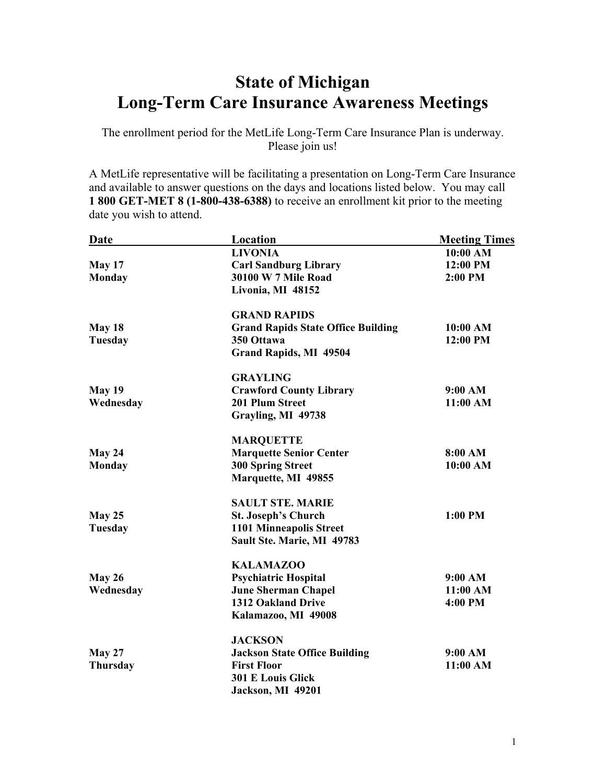## **State of Michigan Long-Term Care Insurance Awareness Meetings**

The enrollment period for the MetLife Long-Term Care Insurance Plan is underway. Please join us!

A MetLife representative will be facilitating a presentation on Long-Term Care Insurance and available to answer questions on the days and locations listed below. You may call **1 800 GET-MET 8 (1-800-438-6388)** to receive an enrollment kit prior to the meeting date you wish to attend.

| <b>Date</b>    | <b>Location</b>                           | <b>Meeting Times</b> |
|----------------|-------------------------------------------|----------------------|
|                | <b>LIVONIA</b>                            | 10:00 AM             |
| May 17         | <b>Carl Sandburg Library</b>              | 12:00 PM             |
| <b>Monday</b>  | <b>30100 W 7 Mile Road</b>                | 2:00 PM              |
|                | Livonia, MI 48152                         |                      |
|                | <b>GRAND RAPIDS</b>                       |                      |
| May 18         | <b>Grand Rapids State Office Building</b> | 10:00 AM             |
| <b>Tuesday</b> | 350 Ottawa                                | 12:00 PM             |
|                | <b>Grand Rapids, MI 49504</b>             |                      |
|                | <b>GRAYLING</b>                           |                      |
| <b>May 19</b>  | <b>Crawford County Library</b>            | 9:00 AM              |
| Wednesday      | 201 Plum Street                           | 11:00 AM             |
|                | Grayling, MI 49738                        |                      |
|                | <b>MARQUETTE</b>                          |                      |
| May 24         | <b>Marquette Senior Center</b>            | 8:00 AM              |
| <b>Monday</b>  | <b>300 Spring Street</b>                  | 10:00 AM             |
|                | Marquette, MI 49855                       |                      |
|                | <b>SAULT STE. MARIE</b>                   |                      |
| May 25         | <b>St. Joseph's Church</b>                | 1:00 PM              |
| Tuesday        | <b>1101 Minneapolis Street</b>            |                      |
|                | Sault Ste. Marie, MI 49783                |                      |
|                | <b>KALAMAZOO</b>                          |                      |
| May 26         | <b>Psychiatric Hospital</b>               | 9:00 AM              |
| Wednesday      | <b>June Sherman Chapel</b>                | 11:00 AM             |
|                | 1312 Oakland Drive                        | 4:00 PM              |
|                | Kalamazoo, MI 49008                       |                      |
|                | <b>JACKSON</b>                            |                      |
| <b>May 27</b>  | <b>Jackson State Office Building</b>      | 9:00 AM              |
| Thursday       | <b>First Floor</b>                        | 11:00 AM             |
|                | <b>301 E Louis Glick</b>                  |                      |
|                | Jackson, MI 49201                         |                      |